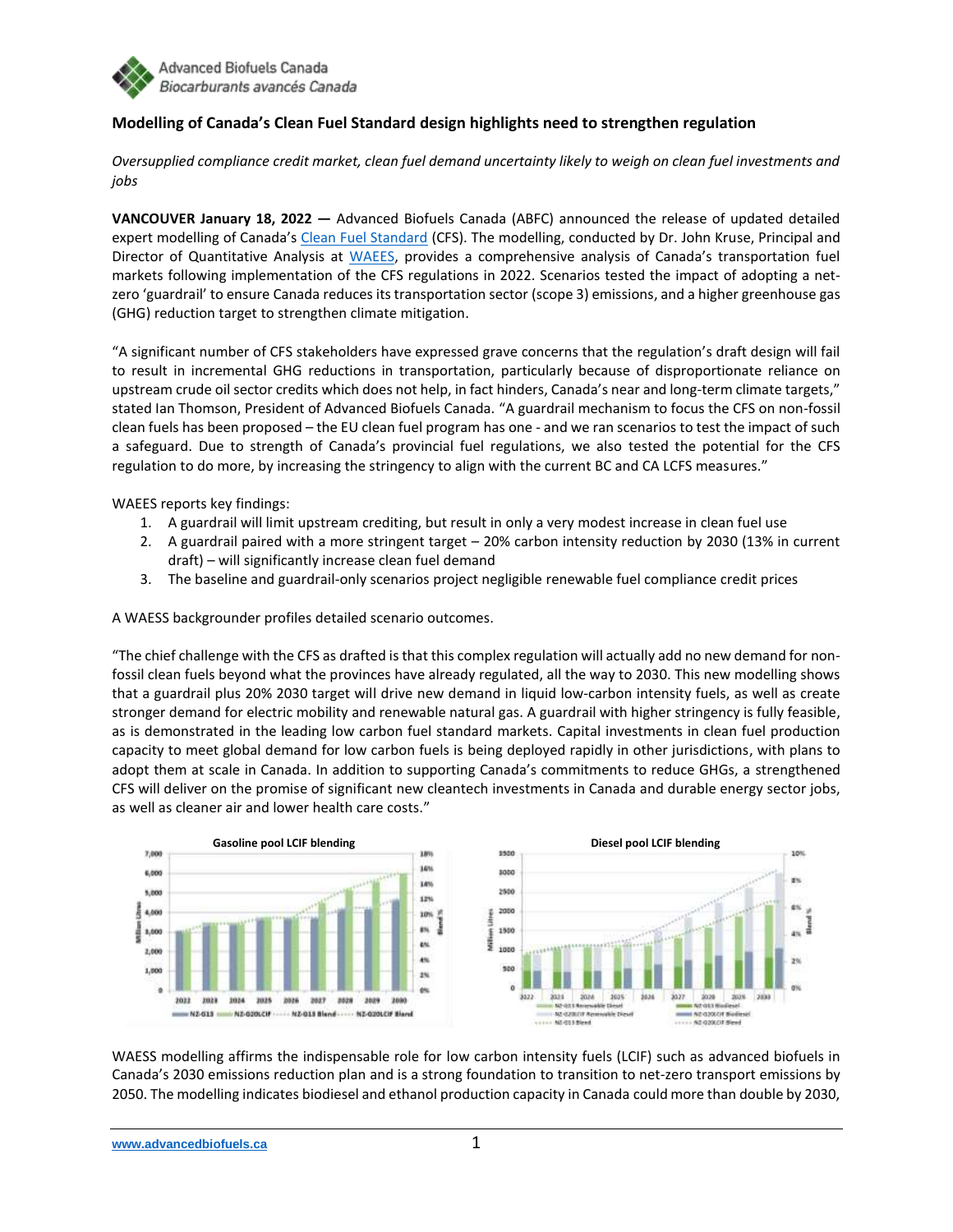

## **Modelling of Canada's Clean Fuel Standard design highlights need to strengthen regulation**

*Oversupplied compliance credit market, clean fuel demand uncertainty likely to weigh on clean fuel investments and jobs*

**VANCOUVER January 18, 2022 —** Advanced Biofuels Canada (ABFC) announced the release of updated detailed expert modelling of Canada's [Clean Fuel Standard](https://www.canada.ca/en/environment-climate-change/services/managing-pollution/energy-production/fuel-regulations/clean-fuel-standard.html) (CFS). The modelling, conducted by Dr. John Kruse, Principal and Director of Quantitative Analysis at [WAEES,](https://www.waees-llc.com/) provides a comprehensive analysis of Canada's transportation fuel markets following implementation of the CFS regulations in 2022. Scenarios tested the impact of adopting a netzero 'guardrail' to ensure Canada reduces its transportation sector (scope 3) emissions, and a higher greenhouse gas (GHG) reduction target to strengthen climate mitigation.

"A significant number of CFS stakeholders have expressed grave concerns that the regulation's draft design will fail to result in incremental GHG reductions in transportation, particularly because of disproportionate reliance on upstream crude oil sector credits which does not help, in fact hinders, Canada's near and long-term climate targets," stated Ian Thomson, President of Advanced Biofuels Canada. "A guardrail mechanism to focus the CFS on non-fossil clean fuels has been proposed – the EU clean fuel program has one - and we ran scenarios to test the impact of such a safeguard. Due to strength of Canada's provincial fuel regulations, we also tested the potential for the CFS regulation to do more, by increasing the stringency to align with the current BC and CA LCFS measures."

WAEES reports key findings:

- 1. A guardrail will limit upstream crediting, but result in only a very modest increase in clean fuel use
- 2. A guardrail paired with a more stringent target 20% carbon intensity reduction by 2030 (13% in current draft) – will significantly increase clean fuel demand
- 3. The baseline and guardrail-only scenarios project negligible renewable fuel compliance credit prices

A WAESS backgrounder profiles detailed scenario outcomes.

"The chief challenge with the CFS as drafted is that this complex regulation will actually add no new demand for nonfossil clean fuels beyond what the provinces have already regulated, all the way to 2030. This new modelling shows that a guardrail plus 20% 2030 target will drive new demand in liquid low-carbon intensity fuels, as well as create stronger demand for electric mobility and renewable natural gas. A guardrail with higher stringency is fully feasible, as is demonstrated in the leading low carbon fuel standard markets. Capital investments in clean fuel production capacity to meet global demand for low carbon fuels is being deployed rapidly in other jurisdictions, with plans to adopt them at scale in Canada. In addition to supporting Canada's commitments to reduce GHGs, a strengthened CFS will deliver on the promise of significant new cleantech investments in Canada and durable energy sector jobs, as well as cleaner air and lower health care costs."



WAESS modelling affirms the indispensable role for low carbon intensity fuels (LCIF) such as advanced biofuels in Canada's 2030 emissions reduction plan and is a strong foundation to transition to net-zero transport emissions by 2050. The modelling indicates biodiesel and ethanol production capacity in Canada could more than double by 2030,